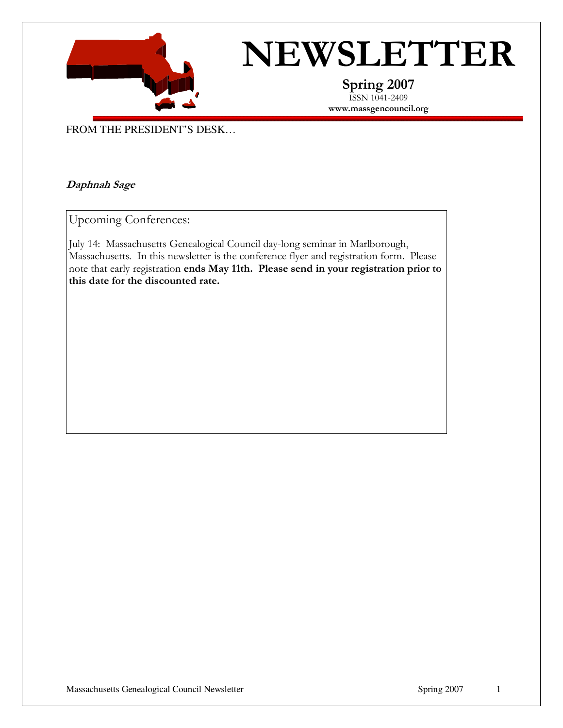

# NEWSLETTER

Spring 2007 ISSN 1041-2409 www.massgencouncil.org

FROM THE PRESIDENT'S DESK…

#### Daphnah Sage

Upcoming Conferences:

July 14: Massachusetts Genealogical Council day-long seminar in Marlborough, Massachusetts. In this newsletter is the conference flyer and registration form. Please note that early registration ends May 11th. Please send in your registration prior to this date for the discounted rate.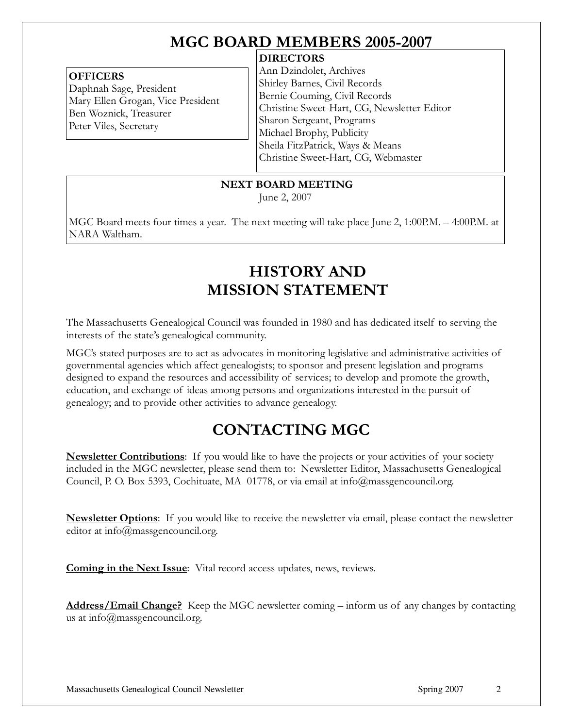# MGC BOARD MEMBERS 2005-2007

#### **OFFICERS**

Daphnah Sage, President Mary Ellen Grogan, Vice President Ben Woznick, Treasurer Peter Viles, Secretary

#### **DIRECTORS**

Ann Dzindolet, Archives Shirley Barnes, Civil Records Bernie Couming, Civil Records Christine Sweet-Hart, CG, Newsletter Editor Sharon Sergeant, Programs Michael Brophy, Publicity Sheila FitzPatrick, Ways & Means Christine Sweet-Hart, CG, Webmaster

NEXT BOARD MEETING

June 2, 2007

MGC Board meets four times a year. The next meeting will take place June 2, 1:00P.M. – 4:00P.M. at NARA Waltham.

# HISTORY AND MISSION STATEMENT

The Massachusetts Genealogical Council was founded in 1980 and has dedicated itself to serving the interests of the state's genealogical community.

MGC's stated purposes are to act as advocates in monitoring legislative and administrative activities of governmental agencies which affect genealogists; to sponsor and present legislation and programs designed to expand the resources and accessibility of services; to develop and promote the growth, education, and exchange of ideas among persons and organizations interested in the pursuit of genealogy; and to provide other activities to advance genealogy.

# CONTACTING MGC

**Newsletter Contributions**: If you would like to have the projects or your activities of your society included in the MGC newsletter, please send them to: Newsletter Editor, Massachusetts Genealogical Council, P. O. Box 5393, Cochituate, MA 01778, or via email at info@massgencouncil.org.

**Newsletter Options**: If you would like to receive the newsletter via email, please contact the newsletter editor at info@massgencouncil.org.

Coming in the Next Issue: Vital record access updates, news, reviews.

Address/Email Change? Keep the MGC newsletter coming – inform us of any changes by contacting us at info@massgencouncil.org.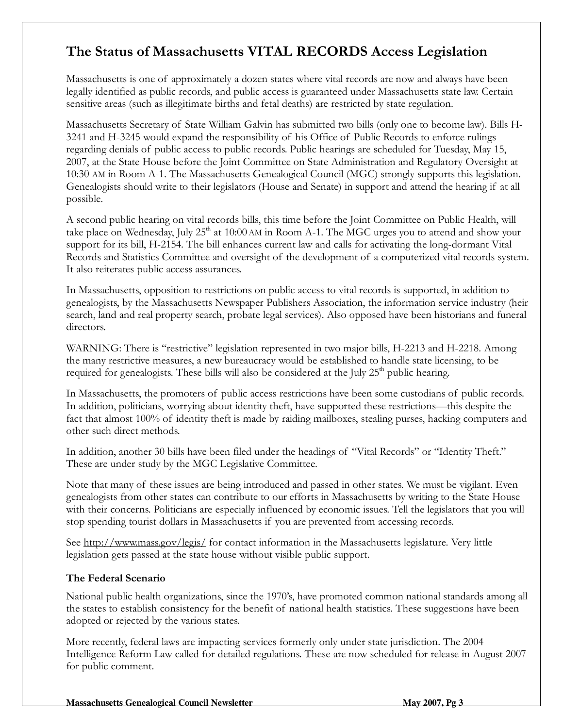## The Status of Massachusetts VITAL RECORDS Access Legislation

Massachusetts is one of approximately a dozen states where vital records are now and always have been legally identified as public records, and public access is guaranteed under Massachusetts state law. Certain sensitive areas (such as illegitimate births and fetal deaths) are restricted by state regulation.

Massachusetts Secretary of State William Galvin has submitted two bills (only one to become law). Bills H-3241 and H-3245 would expand the responsibility of his Office of Public Records to enforce rulings regarding denials of public access to public records. Public hearings are scheduled for Tuesday, May 15, 2007, at the State House before the Joint Committee on State Administration and Regulatory Oversight at 10:30 AM in Room A-1. The Massachusetts Genealogical Council (MGC) strongly supports this legislation. Genealogists should write to their legislators (House and Senate) in support and attend the hearing if at all possible.

A second public hearing on vital records bills, this time before the Joint Committee on Public Health, will take place on Wednesday, July  $25<sup>th</sup>$  at 10:00 AM in Room A-1. The MGC urges you to attend and show your support for its bill, H-2154. The bill enhances current law and calls for activating the long-dormant Vital Records and Statistics Committee and oversight of the development of a computerized vital records system. It also reiterates public access assurances.

In Massachusetts, opposition to restrictions on public access to vital records is supported, in addition to genealogists, by the Massachusetts Newspaper Publishers Association, the information service industry (heir search, land and real property search, probate legal services). Also opposed have been historians and funeral directors.

WARNING: There is "restrictive" legislation represented in two major bills, H-2213 and H-2218. Among the many restrictive measures, a new bureaucracy would be established to handle state licensing, to be required for genealogists. These bills will also be considered at the July  $25<sup>th</sup>$  public hearing.

In Massachusetts, the promoters of public access restrictions have been some custodians of public records. In addition, politicians, worrying about identity theft, have supported these restrictions—this despite the fact that almost 100% of identity theft is made by raiding mailboxes, stealing purses, hacking computers and other such direct methods.

In addition, another 30 bills have been filed under the headings of "Vital Records" or "Identity Theft." These are under study by the MGC Legislative Committee.

Note that many of these issues are being introduced and passed in other states. We must be vigilant. Even genealogists from other states can contribute to our efforts in Massachusetts by writing to the State House with their concerns. Politicians are especially influenced by economic issues. Tell the legislators that you will stop spending tourist dollars in Massachusetts if you are prevented from accessing records.

See http://www.mass.gov/legis/ for contact information in the Massachusetts legislature. Very little legislation gets passed at the state house without visible public support.

#### The Federal Scenario

National public health organizations, since the 1970's, have promoted common national standards among all the states to establish consistency for the benefit of national health statistics. These suggestions have been adopted or rejected by the various states.

More recently, federal laws are impacting services formerly only under state jurisdiction. The 2004 Intelligence Reform Law called for detailed regulations. These are now scheduled for release in August 2007 for public comment.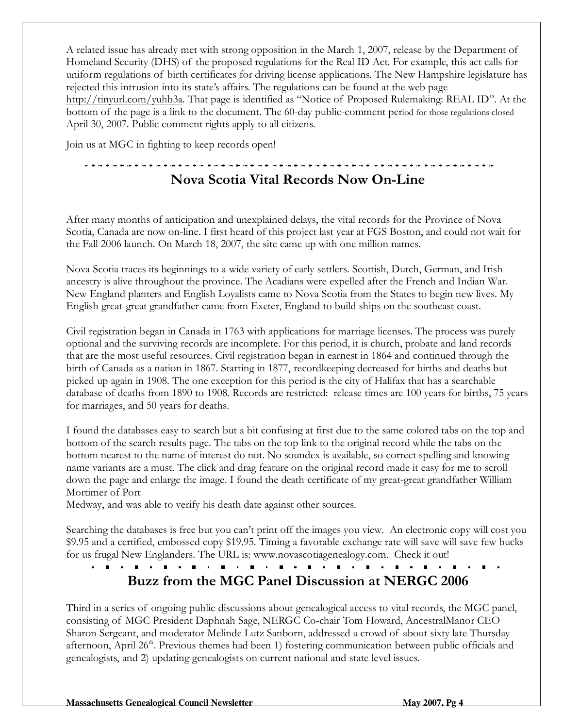A related issue has already met with strong opposition in the March 1, 2007, release by the Department of Homeland Security (DHS) of the proposed regulations for the Real ID Act. For example, this act calls for uniform regulations of birth certificates for driving license applications. The New Hampshire legislature has rejected this intrusion into its state's affairs. The regulations can be found at the web page http://tinyurl.com/yuhb3a. That page is identified as "Notice of Proposed Rulemaking: REAL ID". At the bottom of the page is a link to the document. The 60-day public-comment period for those regulations closed April 30, 2007. Public comment rights apply to all citizens.

Join us at MGC in fighting to keep records open!

## Nova Scotia Vital Records Now On-Line

After many months of anticipation and unexplained delays, the vital records for the Province of Nova Scotia, Canada are now on-line. I first heard of this project last year at FGS Boston, and could not wait for the Fall 2006 launch. On March 18, 2007, the site came up with one million names.

Nova Scotia traces its beginnings to a wide variety of early settlers. Scottish, Dutch, German, and Irish ancestry is alive throughout the province. The Acadians were expelled after the French and Indian War. New England planters and English Loyalists came to Nova Scotia from the States to begin new lives. My English great-great grandfather came from Exeter, England to build ships on the southeast coast.

Civil registration began in Canada in 1763 with applications for marriage licenses. The process was purely optional and the surviving records are incomplete. For this period, it is church, probate and land records that are the most useful resources. Civil registration began in earnest in 1864 and continued through the birth of Canada as a nation in 1867. Starting in 1877, recordkeeping decreased for births and deaths but picked up again in 1908. The one exception for this period is the city of Halifax that has a searchable database of deaths from 1890 to 1908. Records are restricted: release times are 100 years for births, 75 years for marriages, and 50 years for deaths.

I found the databases easy to search but a bit confusing at first due to the same colored tabs on the top and bottom of the search results page. The tabs on the top link to the original record while the tabs on the bottom nearest to the name of interest do not. No soundex is available, so correct spelling and knowing name variants are a must. The click and drag feature on the original record made it easy for me to scroll down the page and enlarge the image. I found the death certificate of my great-great grandfather William Mortimer of Port

Medway, and was able to verify his death date against other sources.

Searching the databases is free but you can't print off the images you view. An electronic copy will cost you \$9.95 and a certified, embossed copy \$19.95. Timing a favorable exchange rate will save will save few bucks for us frugal New Englanders. The URL is: www.novascotiagenealogy.com. Check it out!

Buzz from the MGC Panel Discussion at NERGC 2006

Third in a series of ongoing public discussions about genealogical access to vital records, the MGC panel, consisting of MGC President Daphnah Sage, NERGC Co-chair Tom Howard, AncestralManor CEO Sharon Sergeant, and moderator Melinde Lutz Sanborn, addressed a crowd of about sixty late Thursday afternoon, April  $26<sup>th</sup>$ . Previous themes had been 1) fostering communication between public officials and genealogists, and 2) updating genealogists on current national and state level issues.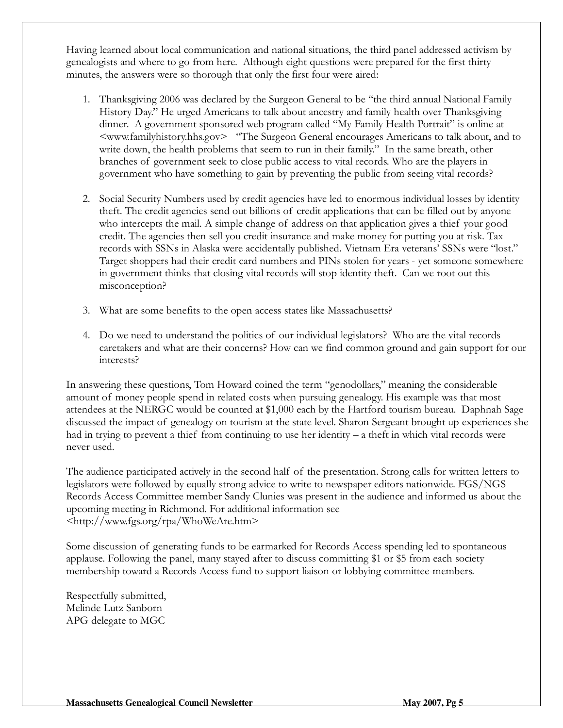Having learned about local communication and national situations, the third panel addressed activism by genealogists and where to go from here. Although eight questions were prepared for the first thirty minutes, the answers were so thorough that only the first four were aired:

- 1. Thanksgiving 2006 was declared by the Surgeon General to be "the third annual National Family History Day." He urged Americans to talk about ancestry and family health over Thanksgiving dinner. A government sponsored web program called "My Family Health Portrait" is online at <www.familyhistory.hhs.gov> "The Surgeon General encourages Americans to talk about, and to write down, the health problems that seem to run in their family." In the same breath, other branches of government seek to close public access to vital records. Who are the players in government who have something to gain by preventing the public from seeing vital records?
- 2. Social Security Numbers used by credit agencies have led to enormous individual losses by identity theft. The credit agencies send out billions of credit applications that can be filled out by anyone who intercepts the mail. A simple change of address on that application gives a thief your good credit. The agencies then sell you credit insurance and make money for putting you at risk. Tax records with SSNs in Alaska were accidentally published. Vietnam Era veterans' SSNs were "lost." Target shoppers had their credit card numbers and PINs stolen for years - yet someone somewhere in government thinks that closing vital records will stop identity theft. Can we root out this misconception?
- 3. What are some benefits to the open access states like Massachusetts?
- 4. Do we need to understand the politics of our individual legislators? Who are the vital records caretakers and what are their concerns? How can we find common ground and gain support for our interests?

In answering these questions, Tom Howard coined the term "genodollars," meaning the considerable amount of money people spend in related costs when pursuing genealogy. His example was that most attendees at the NERGC would be counted at \$1,000 each by the Hartford tourism bureau. Daphnah Sage discussed the impact of genealogy on tourism at the state level. Sharon Sergeant brought up experiences she had in trying to prevent a thief from continuing to use her identity – a theft in which vital records were never used.

The audience participated actively in the second half of the presentation. Strong calls for written letters to legislators were followed by equally strong advice to write to newspaper editors nationwide. FGS/NGS Records Access Committee member Sandy Clunies was present in the audience and informed us about the upcoming meeting in Richmond. For additional information see <http://www.fgs.org/rpa/WhoWeAre.htm>

Some discussion of generating funds to be earmarked for Records Access spending led to spontaneous applause. Following the panel, many stayed after to discuss committing \$1 or \$5 from each society membership toward a Records Access fund to support liaison or lobbying committee-members.

Respectfully submitted, Melinde Lutz Sanborn APG delegate to MGC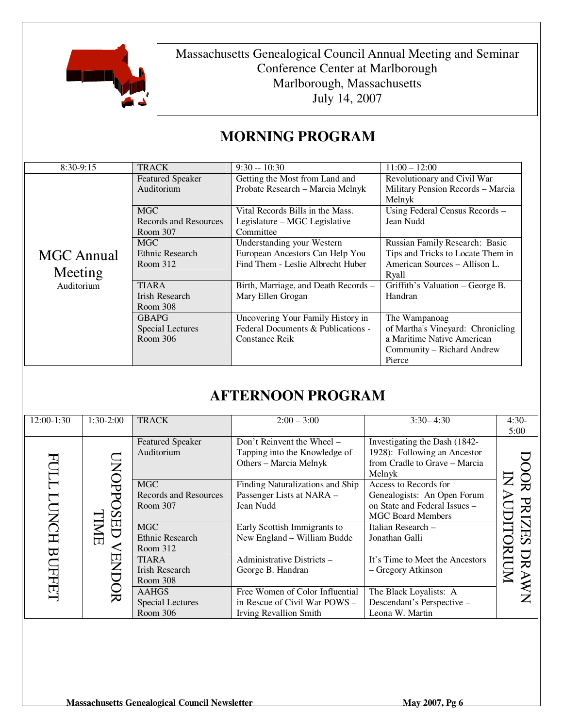

Massachusetts Genealogical Council Annual Meeting and Seminar Conference Center at Marlborough Marlborough, Massachusetts July 14, 2007

| $8:30-9:15$                                | <b>TRACK</b>                                    | $9:30 - 10:30$                                                                                     | $11:00 - 12:00$                                                                                                          |
|--------------------------------------------|-------------------------------------------------|----------------------------------------------------------------------------------------------------|--------------------------------------------------------------------------------------------------------------------------|
| <b>MGC</b> Annual<br>Meeting<br>Auditorium | <b>Featured Speaker</b><br>Auditorium           | Getting the Most from Land and<br>Probate Research - Marcia Melnyk                                 | Revolutionary and Civil War<br>Military Pension Records - Marcia<br>Melnyk                                               |
|                                            | <b>MGC</b><br>Records and Resources<br>Room 307 | Vital Records Bills in the Mass.<br>Legislature – MGC Legislative<br>Committee                     | Using Federal Census Records -<br>Jean Nudd                                                                              |
|                                            | <b>MGC</b><br>Ethnic Research<br>Room 312       | Understanding your Western<br>European Ancestors Can Help You<br>Find Them - Leslie Albrecht Huber | Russian Family Research: Basic<br>Tips and Tricks to Locate Them in<br>American Sources - Allison L.<br>Ryall            |
|                                            | <b>TIARA</b><br>Irish Research<br>Room 308      | Birth, Marriage, and Death Records -<br>Mary Ellen Grogan                                          | Griffith's Valuation – George B.<br>Handran                                                                              |
|                                            | <b>GBAPG</b><br>Special Lectures<br>Room 306    | Uncovering Your Family History in<br>Federal Documents & Publications -<br>Constance Reik          | The Wampanoag<br>of Martha's Vineyard: Chronicling<br>a Maritime Native American<br>Community – Richard Andrew<br>Pierce |

## **MORNING PROGRAM**

## **AFTERNOON PROGRAM**

| 12:00-1:30                                                                                | $1:30-2:00$                                     | <b>TRACK</b>                                                                          | $2:00 - 3:00$                                                                                                     | $3:30 - 4:30$                                                           | $4:30-$<br>5:00 |
|-------------------------------------------------------------------------------------------|-------------------------------------------------|---------------------------------------------------------------------------------------|-------------------------------------------------------------------------------------------------------------------|-------------------------------------------------------------------------|-----------------|
| ᠊ᡏ<br>ℸ<br><b>INCH</b><br>Ū<br>日<br>IMIE<br>$\overline{\mathbf{B}}$<br>EN<br><b>THEFT</b> | <b>Featured Speaker</b><br>Auditorium           | Don't Reinvent the Wheel -<br>Tapping into the Knowledge of<br>Others - Marcia Melnyk | Investigating the Dash (1842-<br>1928): Following an Ancestor<br>from Cradle to Grave - Marcia<br>Melnyk          |                                                                         |                 |
|                                                                                           | <b>MGC</b><br>Records and Resources<br>Room 307 | Finding Naturalizations and Ship<br>Passenger Lists at NARA -<br>Jean Nudd            | Access to Records for<br>Genealogists: An Open Forum<br>on State and Federal Issues -<br><b>MGC Board Members</b> | Ŏ<br>Z<br>$\mathbf{\Sigma}$<br>$\blacktriangleright$<br>PRIZES          |                 |
|                                                                                           | <b>MGC</b><br>Ethnic Research<br>Room 312       | Early Scottish Immigrants to<br>New England – William Budde                           | Italian Research –<br>Jonathan Galli                                                                              |                                                                         |                 |
|                                                                                           | <b>TIARA</b><br>Irish Research<br>Room 308      | Administrative Districts -<br>George B. Handran                                       | It's Time to Meet the Ancestors<br>- Gregory Atkinson                                                             | RIUM<br>DR<br>AN                                                        |                 |
|                                                                                           | $\rm{Q}$                                        | <b>AAHGS</b><br>Special Lectures<br>Room 306                                          | Free Women of Color Influential<br>in Rescue of Civil War POWS -<br><b>Irving Revallion Smith</b>                 | The Black Loyalists: A<br>Descendant's Perspective -<br>Leona W. Martin |                 |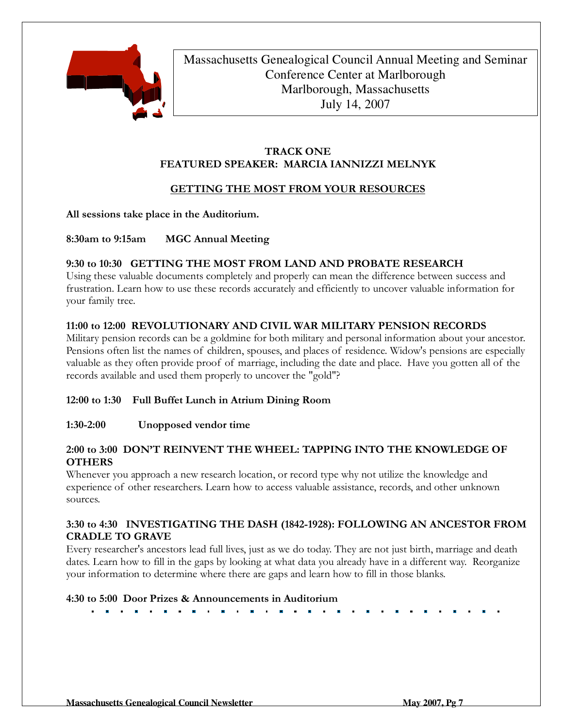

Massachusetts Genealogical Council Annual Meeting and Seminar Conference Center at Marlborough Marlborough, Massachusetts July 14, 2007

#### TRACK ONE FEATURED SPEAKER: MARCIA IANNIZZI MELNYK

#### GETTING THE MOST FROM YOUR RESOURCES

All sessions take place in the Auditorium.

8:30am to 9:15am MGC Annual Meeting

#### 9:30 to 10:30 GETTING THE MOST FROM LAND AND PROBATE RESEARCH

Using these valuable documents completely and properly can mean the difference between success and frustration. Learn how to use these records accurately and efficiently to uncover valuable information for your family tree.

#### 11:00 to 12:00 REVOLUTIONARY AND CIVIL WAR MILITARY PENSION RECORDS

Military pension records can be a goldmine for both military and personal information about your ancestor. Pensions often list the names of children, spouses, and places of residence. Widow's pensions are especially valuable as they often provide proof of marriage, including the date and place. Have you gotten all of the records available and used them properly to uncover the "gold"?

#### 12:00 to 1:30 Full Buffet Lunch in Atrium Dining Room

#### 1:30-2:00 Unopposed vendor time

#### 2:00 to 3:00 DON'T REINVENT THE WHEEL: TAPPING INTO THE KNOWLEDGE OF **OTHERS**

Whenever you approach a new research location, or record type why not utilize the knowledge and experience of other researchers. Learn how to access valuable assistance, records, and other unknown sources.

#### 3:30 to 4:30 INVESTIGATING THE DASH (1842-1928): FOLLOWING AN ANCESTOR FROM CRADLE TO GRAVE

Every researcher's ancestors lead full lives, just as we do today. They are not just birth, marriage and death dates. Learn how to fill in the gaps by looking at what data you already have in a different way. Reorganize your information to determine where there are gaps and learn how to fill in those blanks.

#### 4:30 to 5:00 Door Prizes & Announcements in Auditorium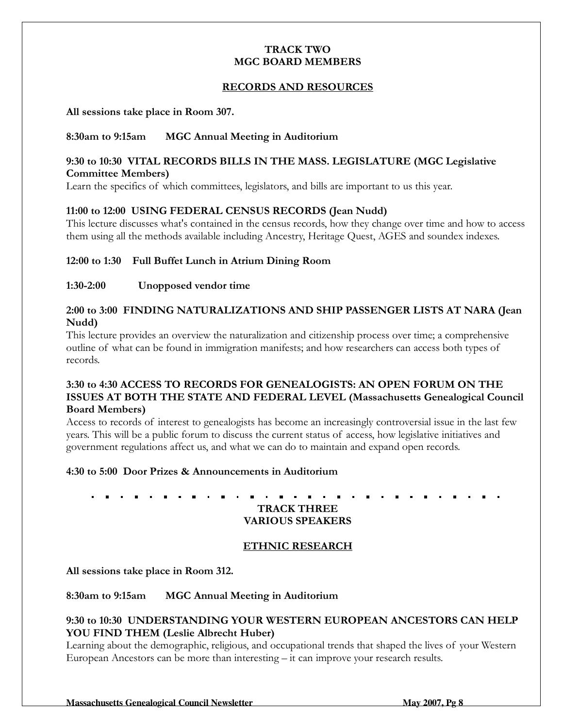#### TRACK TWO MGC BOARD MEMBERS

#### RECORDS AND RESOURCES

All sessions take place in Room 307.

#### 8:30am to 9:15am MGC Annual Meeting in Auditorium

#### 9:30 to 10:30 VITAL RECORDS BILLS IN THE MASS. LEGISLATURE (MGC Legislative Committee Members)

Learn the specifics of which committees, legislators, and bills are important to us this year.

#### 11:00 to 12:00 USING FEDERAL CENSUS RECORDS (Jean Nudd)

This lecture discusses what's contained in the census records, how they change over time and how to access them using all the methods available including Ancestry, Heritage Quest, AGES and soundex indexes.

#### 12:00 to 1:30 Full Buffet Lunch in Atrium Dining Room

#### 1:30-2:00 Unopposed vendor time

#### 2:00 to 3:00 FINDING NATURALIZATIONS AND SHIP PASSENGER LISTS AT NARA (Jean Nudd)

This lecture provides an overview the naturalization and citizenship process over time; a comprehensive outline of what can be found in immigration manifests; and how researchers can access both types of records.

#### 3:30 to 4:30 ACCESS TO RECORDS FOR GENEALOGISTS: AN OPEN FORUM ON THE ISSUES AT BOTH THE STATE AND FEDERAL LEVEL (Massachusetts Genealogical Council Board Members)

Access to records of interest to genealogists has become an increasingly controversial issue in the last few years. This will be a public forum to discuss the current status of access, how legislative initiatives and government regulations affect us, and what we can do to maintain and expand open records.

#### 4:30 to 5:00 Door Prizes & Announcements in Auditorium

TRACK THREE VARIOUS SPEAKERS

#### ETHNIC RESEARCH

All sessions take place in Room 312.

8:30am to 9:15am MGC Annual Meeting in Auditorium

#### 9:30 to 10:30 UNDERSTANDING YOUR WESTERN EUROPEAN ANCESTORS CAN HELP YOU FIND THEM (Leslie Albrecht Huber)

Learning about the demographic, religious, and occupational trends that shaped the lives of your Western European Ancestors can be more than interesting – it can improve your research results.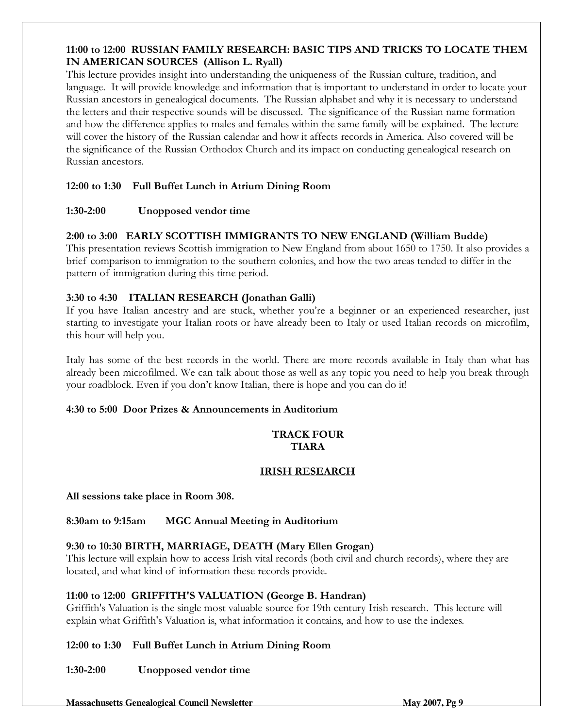#### 11:00 to 12:00 RUSSIAN FAMILY RESEARCH: BASIC TIPS AND TRICKS TO LOCATE THEM IN AMERICAN SOURCES (Allison L. Ryall)

This lecture provides insight into understanding the uniqueness of the Russian culture, tradition, and language. It will provide knowledge and information that is important to understand in order to locate your Russian ancestors in genealogical documents. The Russian alphabet and why it is necessary to understand the letters and their respective sounds will be discussed. The significance of the Russian name formation and how the difference applies to males and females within the same family will be explained. The lecture will cover the history of the Russian calendar and how it affects records in America. Also covered will be the significance of the Russian Orthodox Church and its impact on conducting genealogical research on Russian ancestors.

#### 12:00 to 1:30 Full Buffet Lunch in Atrium Dining Room

#### 1:30-2:00 Unopposed vendor time

#### 2:00 to 3:00 EARLY SCOTTISH IMMIGRANTS TO NEW ENGLAND (William Budde)

This presentation reviews Scottish immigration to New England from about 1650 to 1750. It also provides a brief comparison to immigration to the southern colonies, and how the two areas tended to differ in the pattern of immigration during this time period.

#### 3:30 to 4:30 ITALIAN RESEARCH (Jonathan Galli)

If you have Italian ancestry and are stuck, whether you're a beginner or an experienced researcher, just starting to investigate your Italian roots or have already been to Italy or used Italian records on microfilm, this hour will help you.

Italy has some of the best records in the world. There are more records available in Italy than what has already been microfilmed. We can talk about those as well as any topic you need to help you break through your roadblock. Even if you don't know Italian, there is hope and you can do it!

#### 4:30 to 5:00 Door Prizes & Announcements in Auditorium

#### TRACK FOUR TIARA

#### IRISH RESEARCH

All sessions take place in Room 308.

8:30am to 9:15am MGC Annual Meeting in Auditorium

#### 9:30 to 10:30 BIRTH, MARRIAGE, DEATH (Mary Ellen Grogan)

This lecture will explain how to access Irish vital records (both civil and church records), where they are located, and what kind of information these records provide.

#### 11:00 to 12:00 GRIFFITH'S VALUATION (George B. Handran)

Griffith's Valuation is the single most valuable source for 19th century Irish research. This lecture will explain what Griffith's Valuation is, what information it contains, and how to use the indexes.

#### 12:00 to 1:30 Full Buffet Lunch in Atrium Dining Room

#### 1:30-2:00 Unopposed vendor time

**Massachusetts Genealogical Council Newsletter May 2007, Pg 9 and 2007, Pg 9 and 2007, Pg 9 and 2007, Pg 9 and 2007, Pg 9 and 2007, Pg 9 and 2007, Pg 9 and 2007, Pg 9 and 2007, Pg 9 and 2007, Pg 9 and 2007, Pg 9 and 2007,**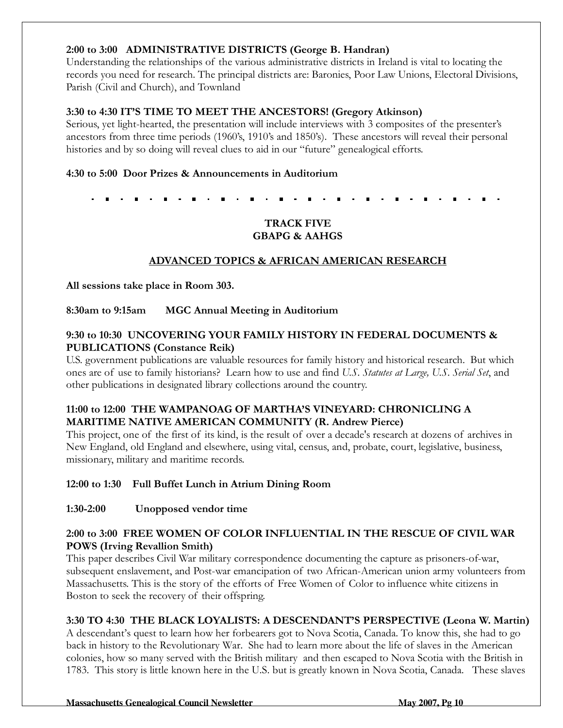#### 2:00 to 3:00 ADMINISTRATIVE DISTRICTS (George B. Handran)

Understanding the relationships of the various administrative districts in Ireland is vital to locating the records you need for research. The principal districts are: Baronies, Poor Law Unions, Electoral Divisions, Parish (Civil and Church), and Townland

#### 3:30 to 4:30 IT'S TIME TO MEET THE ANCESTORS! (Gregory Atkinson)

Serious, yet light-hearted, the presentation will include interviews with 3 composites of the presenter's ancestors from three time periods (1960's, 1910's and 1850's). These ancestors will reveal their personal histories and by so doing will reveal clues to aid in our "future" genealogical efforts.

#### 4:30 to 5:00 Door Prizes & Announcements in Auditorium

#### TRACK FIVE GBAPG & AAHGS

#### ADVANCED TOPICS & AFRICAN AMERICAN RESEARCH

All sessions take place in Room 303.

#### 8:30am to 9:15am MGC Annual Meeting in Auditorium

#### 9:30 to 10:30 UNCOVERING YOUR FAMILY HISTORY IN FEDERAL DOCUMENTS & PUBLICATIONS (Constance Reik)

U.S. government publications are valuable resources for family history and historical research. But which ones are of use to family historians? Learn how to use and find U.S. Statutes at Large, U.S. Serial Set, and other publications in designated library collections around the country.

#### 11:00 to 12:00 THE WAMPANOAG OF MARTHA'S VINEYARD: CHRONICLING A MARITIME NATIVE AMERICAN COMMUNITY (R. Andrew Pierce)

This project, one of the first of its kind, is the result of over a decade's research at dozens of archives in New England, old England and elsewhere, using vital, census, and, probate, court, legislative, business, missionary, military and maritime records.

#### 12:00 to 1:30 Full Buffet Lunch in Atrium Dining Room

#### 1:30-2:00 Unopposed vendor time

#### 2:00 to 3:00 FREE WOMEN OF COLOR INFLUENTIAL IN THE RESCUE OF CIVIL WAR POWS (Irving Revallion Smith)

This paper describes Civil War military correspondence documenting the capture as prisoners-of-war, subsequent enslavement, and Post-war emancipation of two African-American union army volunteers from Massachusetts. This is the story of the efforts of Free Women of Color to influence white citizens in Boston to seek the recovery of their offspring.

#### 3:30 TO 4:30 THE BLACK LOYALISTS: A DESCENDANT'S PERSPECTIVE (Leona W. Martin)

A descendant's quest to learn how her forbearers got to Nova Scotia, Canada. To know this, she had to go back in history to the Revolutionary War. She had to learn more about the life of slaves in the American colonies, how so many served with the British military and then escaped to Nova Scotia with the British in 1783. This story is little known here in the U.S. but is greatly known in Nova Scotia, Canada. These slaves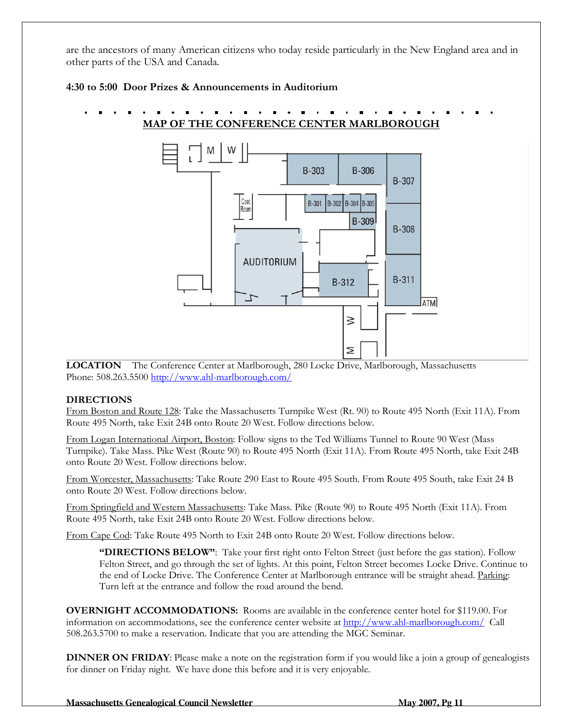are the ancestors of many American citizens who today reside particularly in the New England area and in other parts of the USA and Canada.

#### 4:30 to 5:00 Door Prizes & Announcements in Auditorium





LOCATION The Conference Center at Marlborough, 280 Locke Drive, Marlborough, Massachusetts Phone: 508.263.5500 http://www.ahl-marlborough.com/

#### DIRECTIONS

From Boston and Route 128: Take the Massachusetts Turnpike West (Rt. 90) to Route 495 North (Exit 11A). From Route 495 North, take Exit 24B onto Route 20 West. Follow directions below.

From Logan International Airport, Boston: Follow signs to the Ted Williams Tunnel to Route 90 West (Mass Turnpike). Take Mass. Pike West (Route 90) to Route 495 North (Exit 11A). From Route 495 North, take Exit 24B onto Route 20 West. Follow directions below.

From Worcester, Massachusetts: Take Route 290 East to Route 495 South. From Route 495 South, take Exit 24 B onto Route 20 West. Follow directions below.

From Springfield and Western Massachusetts: Take Mass. Pike (Route 90) to Route 495 North (Exit 11A). From Route 495 North, take Exit 24B onto Route 20 West. Follow directions below.

From Cape Cod: Take Route 495 North to Exit 24B onto Route 20 West. Follow directions below.

"DIRECTIONS BELOW": Take your first right onto Felton Street (just before the gas station). Follow Felton Street, and go through the set of lights. At this point, Felton Street becomes Locke Drive. Continue to the end of Locke Drive. The Conference Center at Marlborough entrance will be straight ahead. Parking: Turn left at the entrance and follow the road around the bend.

OVERNIGHT ACCOMMODATIONS: Rooms are available in the conference center hotel for \$119.00. For information on accommodations, see the conference center website at http://www.ahl-marlborough.com/ Call 508.263.5700 to make a reservation. Indicate that you are attending the MGC Seminar.

DINNER ON FRIDAY: Please make a note on the registration form if you would like a join a group of genealogists for dinner on Friday night. We have done this before and it is very enjoyable.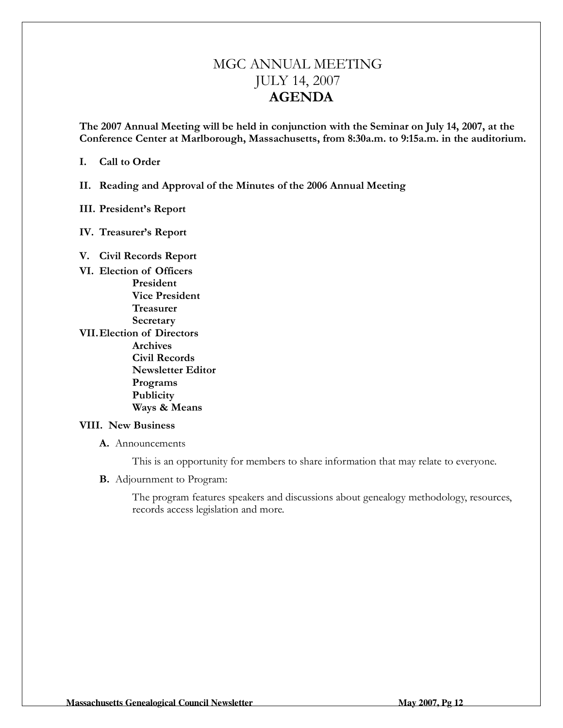## MGC ANNUAL MEETING JULY 14, 2007 AGENDA

The 2007 Annual Meeting will be held in conjunction with the Seminar on July 14, 2007, at the Conference Center at Marlborough, Massachusetts, from 8:30a.m. to 9:15a.m. in the auditorium.

I. Call to Order

II. Reading and Approval of the Minutes of the 2006 Annual Meeting

#### III. President's Report

IV. Treasurer's Report

#### V. Civil Records Report

VI. Election of Officers President Vice President Treasurer **Secretary** VII. Election of Directors Archives Civil Records Newsletter Editor Programs Publicity Ways & Means

#### VIII. New Business

A. Announcements

This is an opportunity for members to share information that may relate to everyone.

B. Adjournment to Program:

The program features speakers and discussions about genealogy methodology, resources, records access legislation and more.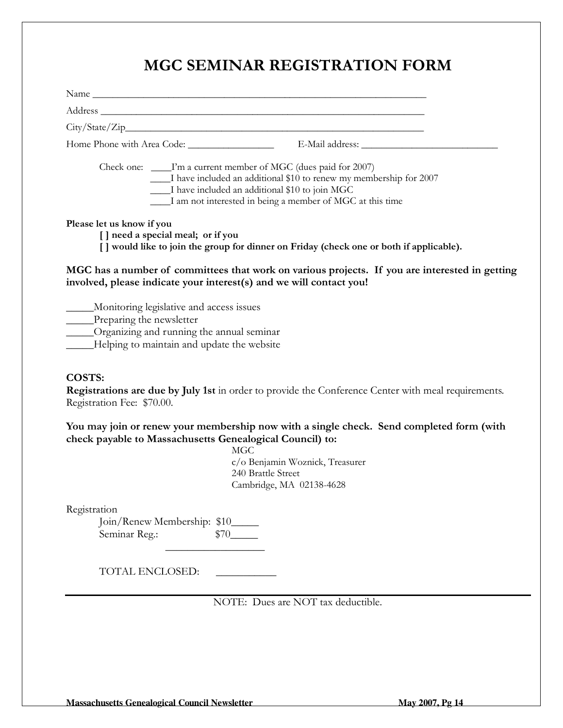# MGC SEMINAR REGISTRATION FORM

|                                                                                                                                                                               | Check one: _____I'm a current member of MGC (dues paid for 2007)<br>I have included an additional \$10 to renew my membership for 2007<br>I have included an additional \$10 to join MGC<br>I am not interested in being a member of MGC at this time |
|-------------------------------------------------------------------------------------------------------------------------------------------------------------------------------|-------------------------------------------------------------------------------------------------------------------------------------------------------------------------------------------------------------------------------------------------------|
| Please let us know if you<br>[] need a special meal; or if you                                                                                                                | [ ] would like to join the group for dinner on Friday (check one or both if applicable).                                                                                                                                                              |
| involved, please indicate your interest(s) and we will contact you!                                                                                                           | MGC has a number of committees that work on various projects. If you are interested in getting                                                                                                                                                        |
| _____Monitoring legislative and access issues<br>____Preparing the newsletter<br>_____Organizing and running the annual seminar<br>Helping to maintain and update the website |                                                                                                                                                                                                                                                       |
| COSTS:<br>Registration Fee: \$70.00.                                                                                                                                          | Registrations are due by July 1st in order to provide the Conference Center with meal requirements.                                                                                                                                                   |
| check payable to Massachusetts Genealogical Council) to:                                                                                                                      | You may join or renew your membership now with a single check. Send completed form (with<br><b>MGC</b><br>c/o Benjamin Woznick, Treasurer<br>240 Brattle Street<br>Cambridge, MA 02138-4628                                                           |
| Registration<br>Join/Renew Membership: \$10_____<br>Seminar Reg.:                                                                                                             | \$70                                                                                                                                                                                                                                                  |
| TOTAL ENCLOSED:                                                                                                                                                               |                                                                                                                                                                                                                                                       |
|                                                                                                                                                                               | NOTE: Dues are NOT tax deductible.                                                                                                                                                                                                                    |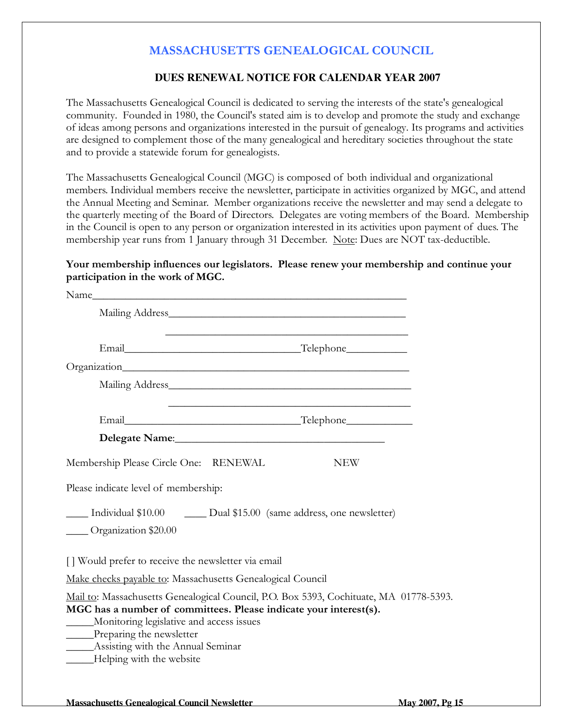### MASSACHUSETTS GENEALOGICAL COUNCIL

#### **DUES RENEWAL NOTICE FOR CALENDAR YEAR 2007**

The Massachusetts Genealogical Council is dedicated to serving the interests of the state's genealogical community. Founded in 1980, the Council's stated aim is to develop and promote the study and exchange of ideas among persons and organizations interested in the pursuit of genealogy. Its programs and activities are designed to complement those of the many genealogical and hereditary societies throughout the state and to provide a statewide forum for genealogists.

The Massachusetts Genealogical Council (MGC) is composed of both individual and organizational members. Individual members receive the newsletter, participate in activities organized by MGC, and attend the Annual Meeting and Seminar. Member organizations receive the newsletter and may send a delegate to the quarterly meeting of the Board of Directors. Delegates are voting members of the Board. Membership in the Council is open to any person or organization interested in its activities upon payment of dues. The membership year runs from 1 January through 31 December. Note: Dues are NOT tax-deductible.

#### Your membership influences our legislators. Please renew your membership and continue your participation in the work of MGC.

| Name_                                                                                                                                            |                                                                                                                                                             |
|--------------------------------------------------------------------------------------------------------------------------------------------------|-------------------------------------------------------------------------------------------------------------------------------------------------------------|
|                                                                                                                                                  |                                                                                                                                                             |
|                                                                                                                                                  |                                                                                                                                                             |
|                                                                                                                                                  |                                                                                                                                                             |
|                                                                                                                                                  | Mailing Address Mailing Address                                                                                                                             |
|                                                                                                                                                  |                                                                                                                                                             |
|                                                                                                                                                  |                                                                                                                                                             |
| Membership Please Circle One: RENEWAL                                                                                                            | <b>NEW</b>                                                                                                                                                  |
| Please indicate level of membership:                                                                                                             |                                                                                                                                                             |
| Organization \$20.00                                                                                                                             | Individual \$10.00 Dual \$15.00 (same address, one newsletter)                                                                                              |
| [] Would prefer to receive the newsletter via email                                                                                              |                                                                                                                                                             |
| Make checks payable to: Massachusetts Genealogical Council                                                                                       |                                                                                                                                                             |
| Monitoring legislative and access issues<br>Preparing the newsletter<br>_______Assisting with the Annual Seminar<br>____Helping with the website | Mail to: Massachusetts Genealogical Council, P.O. Box 5393, Cochituate, MA 01778-5393.<br>MGC has a number of committees. Please indicate your interest(s). |
|                                                                                                                                                  |                                                                                                                                                             |